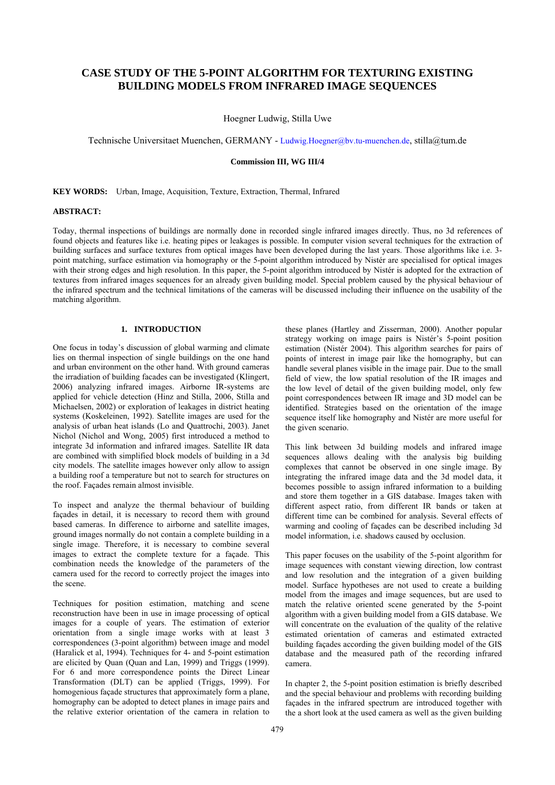# **CASE STUDY OF THE 5-POINT ALGORITHM FOR TEXTURING EXISTING BUILDING MODELS FROM INFRARED IMAGE SEQUENCES**

Hoegner Ludwig, Stilla Uwe

Technische Universitaet Muenchen, GERMANY - Ludwig.Hoegner@bv.tu-muenchen.de, stilla@tum.de

# **Commission III, WG III/4**

**KEY WORDS:** Urban, Image, Acquisition, Texture, Extraction, Thermal, Infrared

### **ABSTRACT:**

Today, thermal inspections of buildings are normally done in recorded single infrared images directly. Thus, no 3d references of found objects and features like i.e. heating pipes or leakages is possible. In computer vision several techniques for the extraction of building surfaces and surface textures from optical images have been developed during the last years. Those algorithms like i.e. 3 point matching, surface estimation via homography or the 5-point algorithm introduced by Nistér are specialised for optical images with their strong edges and high resolution. In this paper, the 5-point algorithm introduced by Nistér is adopted for the extraction of textures from infrared images sequences for an already given building model. Special problem caused by the physical behaviour of the infrared spectrum and the technical limitations of the cameras will be discussed including their influence on the usability of the matching algorithm.

# **1. INTRODUCTION**

One focus in today's discussion of global warming and climate lies on thermal inspection of single buildings on the one hand and urban environment on the other hand. With ground cameras the irradiation of building facades can be investigated (Klingert, 2006) analyzing infrared images. Airborne IR-systems are applied for vehicle detection (Hinz and Stilla, 2006, Stilla and Michaelsen, 2002) or exploration of leakages in district heating systems (Koskeleinen, 1992). Satellite images are used for the analysis of urban heat islands (Lo and Quattrochi, 2003). Janet Nichol (Nichol and Wong, 2005) first introduced a method to integrate 3d information and infrared images. Satellite IR data are combined with simplified block models of building in a 3d city models. The satellite images however only allow to assign a building roof a temperature but not to search for structures on the roof. Façades remain almost invisible.

To inspect and analyze the thermal behaviour of building façades in detail, it is necessary to record them with ground based cameras. In difference to airborne and satellite images, ground images normally do not contain a complete building in a single image. Therefore, it is necessary to combine several images to extract the complete texture for a façade. This combination needs the knowledge of the parameters of the camera used for the record to correctly project the images into the scene.

Techniques for position estimation, matching and scene reconstruction have been in use in image processing of optical images for a couple of years. The estimation of exterior orientation from a single image works with at least 3 correspondences (3-point algorithm) between image and model (Haralick et al, 1994). Techniques for 4- and 5-point estimation are elicited by Quan (Quan and Lan, 1999) and Triggs (1999). For 6 and more correspondence points the Direct Linear Transformation (DLT) can be applied (Triggs, 1999). For homogenious façade structures that approximately form a plane, homography can be adopted to detect planes in image pairs and the relative exterior orientation of the camera in relation to

these planes (Hartley and Zisserman, 2000). Another popular strategy working on image pairs is Nistér's 5-point position estimation (Nistér 2004). This algorithm searches for pairs of points of interest in image pair like the homography, but can handle several planes visible in the image pair. Due to the small field of view, the low spatial resolution of the IR images and the low level of detail of the given building model, only few point correspondences between IR image and 3D model can be identified. Strategies based on the orientation of the image sequence itself like homography and Nistér are more useful for the given scenario.

This link between 3d building models and infrared image sequences allows dealing with the analysis big building complexes that cannot be observed in one single image. By integrating the infrared image data and the 3d model data, it becomes possible to assign infrared information to a building and store them together in a GIS database. Images taken with different aspect ratio, from different IR bands or taken at different time can be combined for analysis. Several effects of warming and cooling of façades can be described including 3d model information, i.e. shadows caused by occlusion.

This paper focuses on the usability of the 5-point algorithm for image sequences with constant viewing direction, low contrast and low resolution and the integration of a given building model. Surface hypotheses are not used to create a building model from the images and image sequences, but are used to match the relative oriented scene generated by the 5-point algorithm with a given building model from a GIS database. We will concentrate on the evaluation of the quality of the relative estimated orientation of cameras and estimated extracted building façades according the given building model of the GIS database and the measured path of the recording infrared camera.

In chapter 2, the 5-point position estimation is briefly described and the special behaviour and problems with recording building façades in the infrared spectrum are introduced together with the a short look at the used camera as well as the given building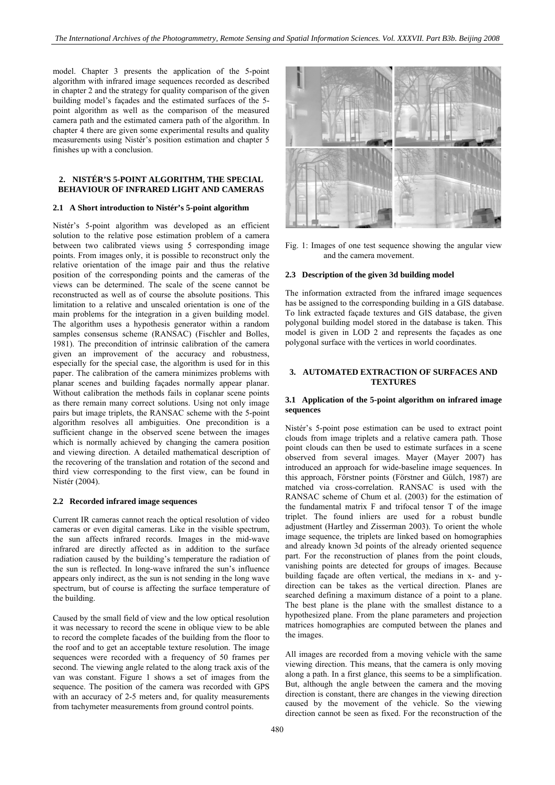model. Chapter 3 presents the application of the 5-point algorithm with infrared image sequences recorded as described in chapter 2 and the strategy for quality comparison of the given building model's façades and the estimated surfaces of the 5 point algorithm as well as the comparison of the measured camera path and the estimated camera path of the algorithm. In chapter 4 there are given some experimental results and quality measurements using Nistér's position estimation and chapter 5 finishes up with a conclusion.

# **2. NISTÉR'S 5-POINT ALGORITHM, THE SPECIAL BEHAVIOUR OF INFRARED LIGHT AND CAMERAS**

# **2.1 A Short introduction to Nistér's 5-point algorithm**

Nistér's 5-point algorithm was developed as an efficient solution to the relative pose estimation problem of a camera between two calibrated views using 5 corresponding image points. From images only, it is possible to reconstruct only the relative orientation of the image pair and thus the relative position of the corresponding points and the cameras of the views can be determined. The scale of the scene cannot be reconstructed as well as of course the absolute positions. This limitation to a relative and unscaled orientation is one of the main problems for the integration in a given building model. The algorithm uses a hypothesis generator within a random samples consensus scheme (RANSAC) (Fischler and Bolles, 1981). The precondition of intrinsic calibration of the camera given an improvement of the accuracy and robustness, especially for the special case, the algorithm is used for in this paper. The calibration of the camera minimizes problems with planar scenes and building façades normally appear planar. Without calibration the methods fails in coplanar scene points as there remain many correct solutions. Using not only image pairs but image triplets, the RANSAC scheme with the 5-point algorithm resolves all ambiguities. One precondition is a sufficient change in the observed scene between the images which is normally achieved by changing the camera position and viewing direction. A detailed mathematical description of the recovering of the translation and rotation of the second and third view corresponding to the first view, can be found in Nistér (2004).

#### **2.2 Recorded infrared image sequences**

Current IR cameras cannot reach the optical resolution of video cameras or even digital cameras. Like in the visible spectrum, the sun affects infrared records. Images in the mid-wave infrared are directly affected as in addition to the surface radiation caused by the building's temperature the radiation of the sun is reflected. In long-wave infrared the sun's influence appears only indirect, as the sun is not sending in the long wave spectrum, but of course is affecting the surface temperature of the building.

Caused by the small field of view and the low optical resolution it was necessary to record the scene in oblique view to be able to record the complete facades of the building from the floor to the roof and to get an acceptable texture resolution. The image sequences were recorded with a frequency of 50 frames per second. The viewing angle related to the along track axis of the van was constant. Figure 1 shows a set of images from the sequence. The position of the camera was recorded with GPS with an accuracy of 2-5 meters and, for quality measurements from tachymeter measurements from ground control points.



Fig. 1: Images of one test sequence showing the angular view and the camera movement.

#### **2.3 Description of the given 3d building model**

The information extracted from the infrared image sequences has be assigned to the corresponding building in a GIS database. To link extracted façade textures and GIS database, the given polygonal building model stored in the database is taken. This model is given in LOD 2 and represents the façades as one polygonal surface with the vertices in world coordinates.

# **3. AUTOMATED EXTRACTION OF SURFACES AND TEXTURES**

# **3.1 Application of the 5-point algorithm on infrared image sequences**

Nistér's 5-point pose estimation can be used to extract point clouds from image triplets and a relative camera path. Those point clouds can then be used to estimate surfaces in a scene observed from several images. Mayer (Mayer 2007) has introduced an approach for wide-baseline image sequences. In this approach, Förstner points (Förstner and Gülch, 1987) are matched via cross-correlation. RANSAC is used with the RANSAC scheme of Chum et al. (2003) for the estimation of the fundamental matrix F and trifocal tensor T of the image triplet. The found inliers are used for a robust bundle adjustment (Hartley and Zisserman 2003). To orient the whole image sequence, the triplets are linked based on homographies and already known 3d points of the already oriented sequence part. For the reconstruction of planes from the point clouds, vanishing points are detected for groups of images. Because building façade are often vertical, the medians in x- and ydirection can be takes as the vertical direction. Planes are searched defining a maximum distance of a point to a plane. The best plane is the plane with the smallest distance to a hypothesized plane. From the plane parameters and projection matrices homographies are computed between the planes and the images.

All images are recorded from a moving vehicle with the same viewing direction. This means, that the camera is only moving along a path. In a first glance, this seems to be a simplification. But, although the angle between the camera and the moving direction is constant, there are changes in the viewing direction caused by the movement of the vehicle. So the viewing direction cannot be seen as fixed. For the reconstruction of the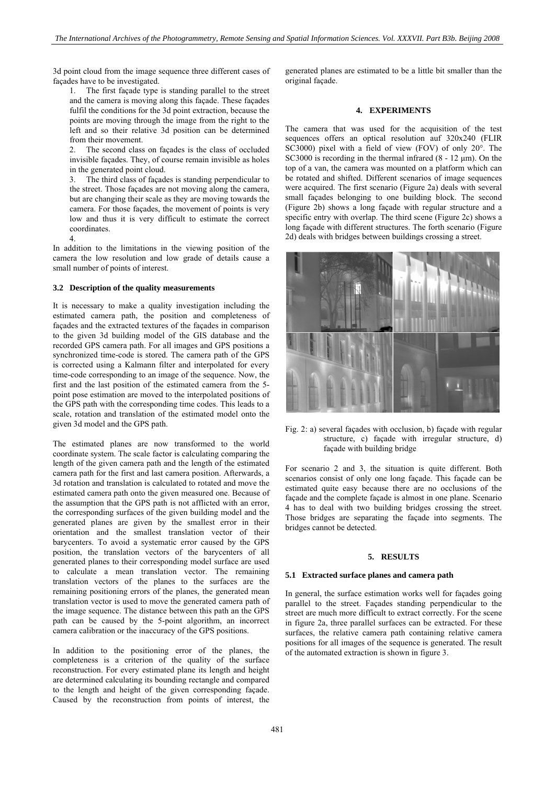3d point cloud from the image sequence three different cases of façades have to be investigated.

1. The first façade type is standing parallel to the street and the camera is moving along this façade. These façades fulfil the conditions for the 3d point extraction, because the points are moving through the image from the right to the left and so their relative 3d position can be determined from their movement.

2. The second class on façades is the class of occluded invisible façades. They, of course remain invisible as holes in the generated point cloud.

3. The third class of façades is standing perpendicular to the street. Those façades are not moving along the camera, but are changing their scale as they are moving towards the camera. For those façades, the movement of points is very low and thus it is very difficult to estimate the correct coordinates.

4.

In addition to the limitations in the viewing position of the camera the low resolution and low grade of details cause a small number of points of interest.

# **3.2 Description of the quality measurements**

It is necessary to make a quality investigation including the estimated camera path, the position and completeness of façades and the extracted textures of the façades in comparison to the given 3d building model of the GIS database and the recorded GPS camera path. For all images and GPS positions a synchronized time-code is stored. The camera path of the GPS is corrected using a Kalmann filter and interpolated for every time-code corresponding to an image of the sequence. Now, the first and the last position of the estimated camera from the 5 point pose estimation are moved to the interpolated positions of the GPS path with the corresponding time codes. This leads to a scale, rotation and translation of the estimated model onto the given 3d model and the GPS path.

The estimated planes are now transformed to the world coordinate system. The scale factor is calculating comparing the length of the given camera path and the length of the estimated camera path for the first and last camera position. Afterwards, a 3d rotation and translation is calculated to rotated and move the estimated camera path onto the given measured one. Because of the assumption that the GPS path is not afflicted with an error, the corresponding surfaces of the given building model and the generated planes are given by the smallest error in their orientation and the smallest translation vector of their barycenters. To avoid a systematic error caused by the GPS position, the translation vectors of the barycenters of all generated planes to their corresponding model surface are used to calculate a mean translation vector. The remaining translation vectors of the planes to the surfaces are the remaining positioning errors of the planes, the generated mean translation vector is used to move the generated camera path of the image sequence. The distance between this path an the GPS path can be caused by the 5-point algorithm, an incorrect camera calibration or the inaccuracy of the GPS positions.

In addition to the positioning error of the planes, the completeness is a criterion of the quality of the surface reconstruction. For every estimated plane its length and height are determined calculating its bounding rectangle and compared to the length and height of the given corresponding façade. Caused by the reconstruction from points of interest, the

generated planes are estimated to be a little bit smaller than the original façade.

#### **4. EXPERIMENTS**

The camera that was used for the acquisition of the test sequences offers an optical resolution auf 320x240 (FLIR SC3000) pixel with a field of view (FOV) of only 20°. The SC3000 is recording in the thermal infrared  $(8 - 12 \mu m)$ . On the top of a van, the camera was mounted on a platform which can be rotated and shifted. Different scenarios of image sequences were acquired. The first scenario (Figure 2a) deals with several small façades belonging to one building block. The second (Figure 2b) shows a long façade with regular structure and a specific entry with overlap. The third scene (Figure 2c) shows a long façade with different structures. The forth scenario (Figure 2d) deals with bridges between buildings crossing a street.



Fig. 2: a) several façades with occlusion, b) façade with regular structure, c) façade with irregular structure, d) façade with building bridge

For scenario 2 and 3, the situation is quite different. Both scenarios consist of only one long façade. This façade can be estimated quite easy because there are no occlusions of the façade and the complete façade is almost in one plane. Scenario 4 has to deal with two building bridges crossing the street. Those bridges are separating the façade into segments. The bridges cannot be detected.

### **5. RESULTS**

# **5.1 Extracted surface planes and camera path**

In general, the surface estimation works well for façades going parallel to the street. Façades standing perpendicular to the street are much more difficult to extract correctly. For the scene in figure 2a, three parallel surfaces can be extracted. For these surfaces, the relative camera path containing relative camera positions for all images of the sequence is generated. The result of the automated extraction is shown in figure 3.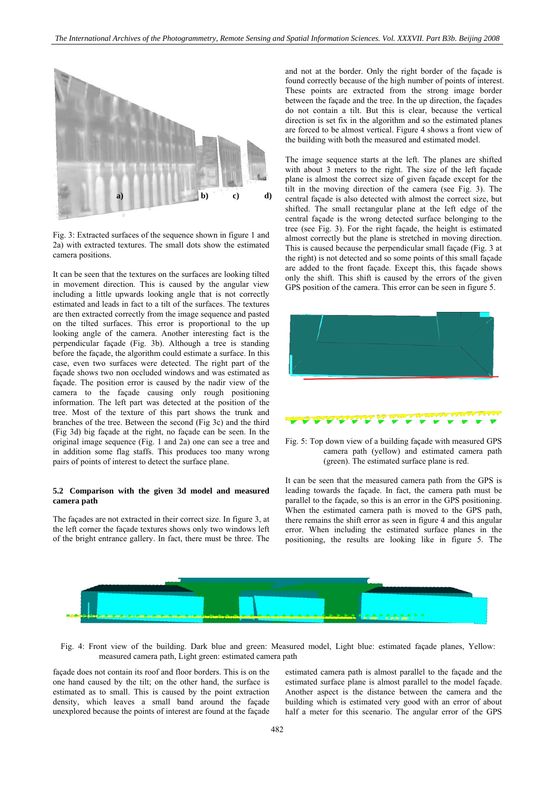

Fig. 3: Extracted surfaces of the sequence shown in figure 1 and 2a) with extracted textures. The small dots show the estimated camera positions.

It can be seen that the textures on the surfaces are looking tilted in movement direction. This is caused by the angular view including a little upwards looking angle that is not correctly estimated and leads in fact to a tilt of the surfaces. The textures are then extracted correctly from the image sequence and pasted on the tilted surfaces. This error is proportional to the up looking angle of the camera. Another interesting fact is the perpendicular façade (Fig. 3b). Although a tree is standing before the façade, the algorithm could estimate a surface. In this case, even two surfaces were detected. The right part of the façade shows two non occluded windows and was estimated as façade. The position error is caused by the nadir view of the camera to the façade causing only rough positioning information. The left part was detected at the position of the tree. Most of the texture of this part shows the trunk and branches of the tree. Between the second (Fig 3c) and the third (Fig 3d) big façade at the right, no façade can be seen. In the original image sequence (Fig. 1 and 2a) one can see a tree and in addition some flag staffs. This produces too many wrong pairs of points of interest to detect the surface plane.

#### **5.2 Comparison with the given 3d model and measured camera path**

The façades are not extracted in their correct size. In figure 3, at the left corner the façade textures shows only two windows left of the bright entrance gallery. In fact, there must be three. The

and not at the border. Only the right border of the façade is found correctly because of the high number of points of interest. These points are extracted from the strong image border between the façade and the tree. In the up direction, the façades do not contain a tilt. But this is clear, because the vertical direction is set fix in the algorithm and so the estimated planes are forced to be almost vertical. Figure 4 shows a front view of the building with both the measured and estimated model.

The image sequence starts at the left. The planes are shifted with about 3 meters to the right. The size of the left façade plane is almost the correct size of given façade except for the tilt in the moving direction of the camera (see Fig. 3). The central façade is also detected with almost the correct size, but shifted. The small rectangular plane at the left edge of the central façade is the wrong detected surface belonging to the tree (see Fig. 3). For the right façade, the height is estimated almost correctly but the plane is stretched in moving direction. This is caused because the perpendicular small façade (Fig. 3 at the right) is not detected and so some points of this small façade are added to the front façade. Except this, this façade shows only the shift. This shift is caused by the errors of the given GPS position of the camera. This error can be seen in figure 5.



Fig. 5: Top down view of a building façade with measured GPS camera path (yellow) and estimated camera path (green). The estimated surface plane is red.

It can be seen that the measured camera path from the GPS is leading towards the façade. In fact, the camera path must be parallel to the façade, so this is an error in the GPS positioning. When the estimated camera path is moved to the GPS path, there remains the shift error as seen in figure 4 and this angular error. When including the estimated surface planes in the positioning, the results are looking like in figure 5. The



Fig. 4: Front view of the building. Dark blue and green: Measured model, Light blue: estimated façade planes, Yellow: measured camera path, Light green: estimated camera path

façade does not contain its roof and floor borders. This is on the one hand caused by the tilt; on the other hand, the surface is estimated as to small. This is caused by the point extraction density, which leaves a small band around the façade unexplored because the points of interest are found at the façade

estimated camera path is almost parallel to the façade and the estimated surface plane is almost parallel to the model façade. Another aspect is the distance between the camera and the building which is estimated very good with an error of about half a meter for this scenario. The angular error of the GPS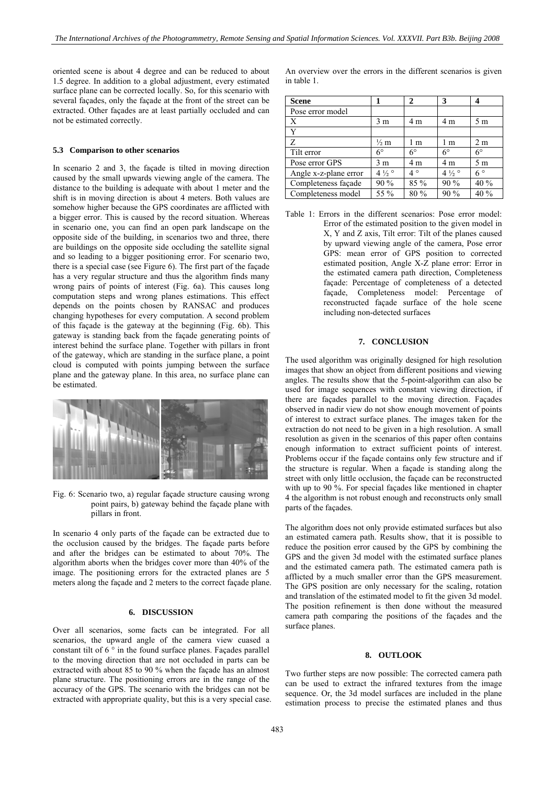oriented scene is about 4 degree and can be reduced to about 1.5 degree. In addition to a global adjustment, every estimated surface plane can be corrected locally. So, for this scenario with several façades, only the façade at the front of the street can be extracted. Other façades are at least partially occluded and can not be estimated correctly.

#### **5.3 Comparison to other scenarios**

In scenario 2 and 3, the façade is tilted in moving direction caused by the small upwards viewing angle of the camera. The distance to the building is adequate with about 1 meter and the shift is in moving direction is about 4 meters. Both values are somehow higher because the GPS coordinates are afflicted with a bigger error. This is caused by the record situation. Whereas in scenario one, you can find an open park landscape on the opposite side of the building, in scenarios two and three, there are buildings on the opposite side occluding the satellite signal and so leading to a bigger positioning error. For scenario two, there is a special case (see Figure 6). The first part of the façade has a very regular structure and thus the algorithm finds many wrong pairs of points of interest (Fig. 6a). This causes long computation steps and wrong planes estimations. This effect depends on the points chosen by RANSAC and produces changing hypotheses for every computation. A second problem of this façade is the gateway at the beginning (Fig. 6b). This gateway is standing back from the façade generating points of interest behind the surface plane. Together with pillars in front of the gateway, which are standing in the surface plane, a point cloud is computed with points jumping between the surface plane and the gateway plane. In this area, no surface plane can be estimated.



Fig. 6: Scenario two, a) regular façade structure causing wrong point pairs, b) gateway behind the façade plane with pillars in front.

In scenario 4 only parts of the façade can be extracted due to the occlusion caused by the bridges. The façade parts before and after the bridges can be estimated to about 70%. The algorithm aborts when the bridges cover more than 40% of the image. The positioning errors for the extracted planes are 5 meters along the façade and 2 meters to the correct façade plane.

#### **6. DISCUSSION**

Over all scenarios, some facts can be integrated. For all scenarios, the upward angle of the camera view cuased a constant tilt of  $6^{\degree}$  in the found surface planes. Façades parallel to the moving direction that are not occluded in parts can be extracted with about 85 to 90 % when the façade has an almost plane structure. The positioning errors are in the range of the accuracy of the GPS. The scenario with the bridges can not be extracted with appropriate quality, but this is a very special case. An overview over the errors in the different scenarios is given in table 1.

| <b>Scene</b>          |                  | 2           | 3                 |                |
|-----------------------|------------------|-------------|-------------------|----------------|
| Pose error model      |                  |             |                   |                |
| Χ                     | 3 <sub>m</sub>   | 4 m         | 4 m               | 5 <sub>m</sub> |
| Y                     |                  |             |                   |                |
| Z                     | $\frac{1}{2}$ m  | l m         | 1 m               | 2 <sub>m</sub> |
| Tilt error            | $6^{\circ}$      | $6^{\circ}$ | $6^{\circ}$       | $6^{\circ}$    |
| Pose error GPS        | 3 <sub>m</sub>   | 4 m         | 4 m               | 5 <sub>m</sub> |
| Angle x-z-plane error | $4\frac{1}{2}$ ° | $4^{\circ}$ | 4 $\frac{1}{2}$ ° | $6^{\circ}$    |
| Completeness facade   | 90 %             | 85 %        | 90%               | 40 %           |
| Completeness model    | 55 %             | 80 %        | 90 %              | 40%            |

Table 1: Errors in the different scenarios: Pose error model: Error of the estimated position to the given model in X, Y and Z axis, Tilt error: Tilt of the planes caused by upward viewing angle of the camera, Pose error GPS: mean error of GPS position to corrected estimated position, Angle X-Z plane error: Error in the estimated camera path direction, Completeness façade: Percentage of completeness of a detected façade, Completeness model: Percentage of reconstructed façade surface of the hole scene including non-detected surfaces

# **7. CONCLUSION**

The used algorithm was originally designed for high resolution images that show an object from different positions and viewing angles. The results show that the 5-point-algorithm can also be used for image sequences with constant viewing direction, if there are façades parallel to the moving direction. Façades observed in nadir view do not show enough movement of points of interest to extract surface planes. The images taken for the extraction do not need to be given in a high resolution. A small resolution as given in the scenarios of this paper often contains enough information to extract sufficient points of interest. Problems occur if the façade contains only few structure and if the structure is regular. When a façade is standing along the street with only little occlusion, the façade can be reconstructed with up to 90 %. For special façades like mentioned in chapter 4 the algorithm is not robust enough and reconstructs only small parts of the façades.

The algorithm does not only provide estimated surfaces but also an estimated camera path. Results show, that it is possible to reduce the position error caused by the GPS by combining the GPS and the given 3d model with the estimated surface planes and the estimated camera path. The estimated camera path is afflicted by a much smaller error than the GPS measurement. The GPS position are only necessary for the scaling, rotation and translation of the estimated model to fit the given 3d model. The position refinement is then done without the measured camera path comparing the positions of the façades and the surface planes.

#### **8. OUTLOOK**

Two further steps are now possible: The corrected camera path can be used to extract the infrared textures from the image sequence. Or, the 3d model surfaces are included in the plane estimation process to precise the estimated planes and thus